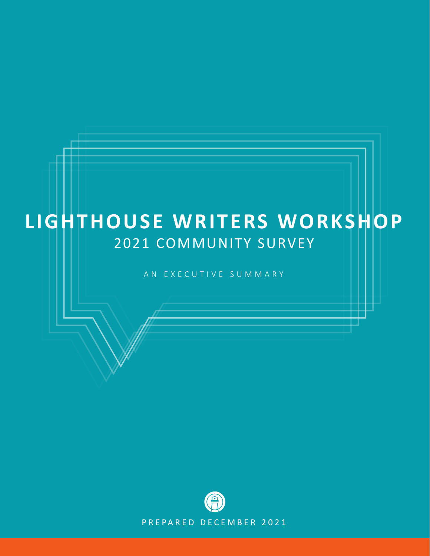# 2021 COMMUNITY SURVEY **LIGHTHOUSE WRITERS WORKSHOP**

AN EXECUTIVE SUMMARY

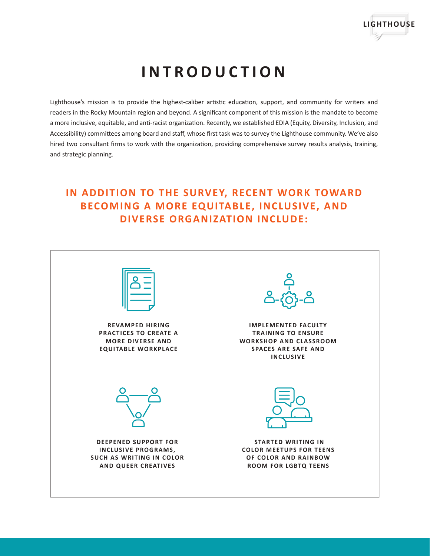

# **INTRODUCTION**

Lighthouse's mission is to provide the highest-caliber artistic education, support, and community for writers and readers in the Rocky Mountain region and beyond. A significant component of this mission is the mandate to become a more inclusive, equitable, and anti-racist organization. Recently, we established EDIA (Equity, Diversity, Inclusion, and Accessibility) committees among board and staff, whose first task was to survey the Lighthouse community. We've also hired two consultant firms to work with the organization, providing comprehensive survey results analysis, training, and strategic planning.

## **IN ADDITION TO THE SURVEY, RECENT WORK TOWARD BECOMING A MORE EQUITABLE, INCLUSIVE, AND DIVERSE ORGANIZATION INCLUDE:**

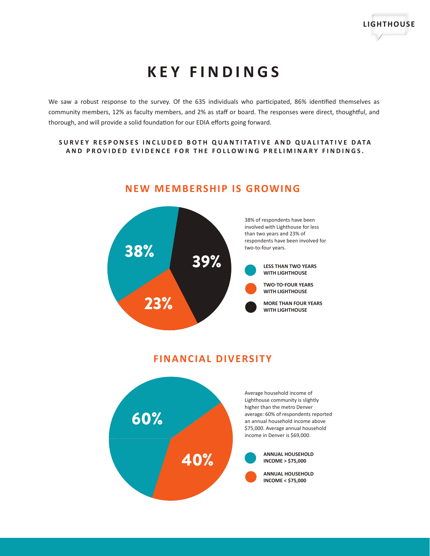

# **KEY FINDINGS**

We saw a robust response to the survey. Of the 635 individuals who participated, 86% identified themselves as community members, 12% as faculty members, and 2% as staff or board. The responses were direct, thoughtful, and thorough, and will provide a solid foundation for our EDIA efforts going forward.

#### **SURVEY RESPONSES INCLUDED BOTH QUANTITATIVE AND QUALITATIVE DATA AND PROVIDED EVIDENCE FOR THE FOLLOWING PRELIMINARY FINDINGS.**



### **NEW MEMBERSHIP IS GROWING**

### **FINANCIAL DIVERSITY**

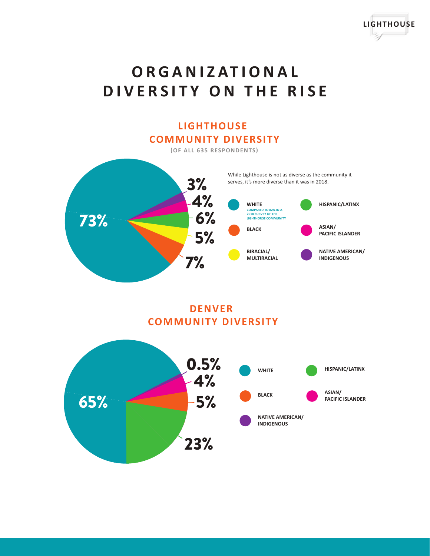



## **DENVER COMMUNITY DIVERSITY**



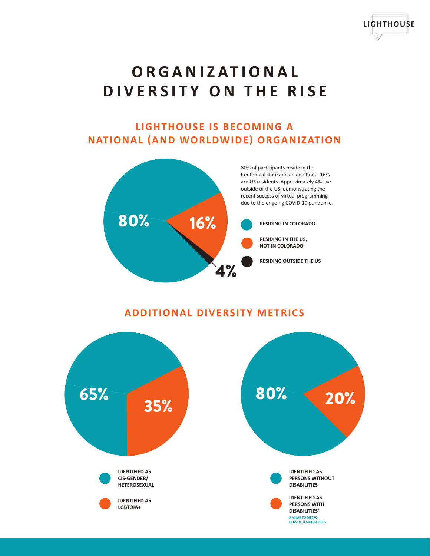

**LIGHTHOUSE**

## **LIGHTHOUSE IS BECOMING A NATIONAL (AND WORLDWIDE) ORGANIZATION**



### **ADDITIONAL DIVERSITY METRICS**

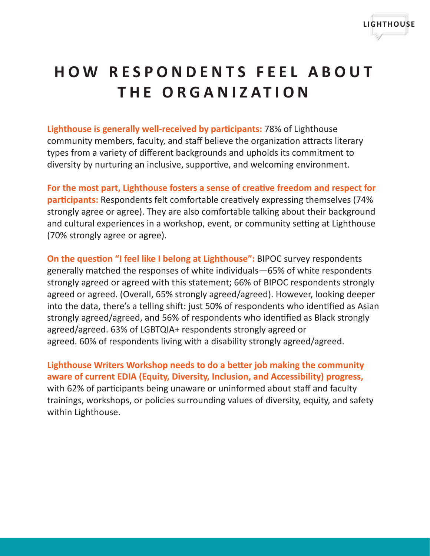

# **HOW RESPONDENTS FEEL ABOUT THE ORGANIZATION**

**Lighthouse is generally well-received by participants:** 78% of Lighthouse community members, faculty, and staff believe the organization attracts literary types from a variety of different backgrounds and upholds its commitment to diversity by nurturing an inclusive, supportive, and welcoming environment.

**For the most part, Lighthouse fosters a sense of creative freedom and respect for participants:** Respondents felt comfortable creatively expressing themselves (74% strongly agree or agree). They are also comfortable talking about their background and cultural experiences in a workshop, event, or community setting at Lighthouse (70% strongly agree or agree).

**On the question "I feel like I belong at Lighthouse":** BIPOC survey respondents generally matched the responses of white individuals—65% of white respondents strongly agreed or agreed with this statement; 66% of BIPOC respondents strongly agreed or agreed. (Overall, 65% strongly agreed/agreed). However, looking deeper into the data, there's a telling shift: just 50% of respondents who identified as Asian strongly agreed/agreed, and 56% of respondents who identified as Black strongly agreed/agreed. 63% of LGBTQIA+ respondents strongly agreed or agreed. 60% of respondents living with a disability strongly agreed/agreed.

**Lighthouse Writers Workshop needs to do a better job making the community aware of current EDIA (Equity, Diversity, Inclusion, and Accessibility) progress,** with 62% of participants being unaware or uninformed about staff and faculty trainings, workshops, or policies surrounding values of diversity, equity, and safety within Lighthouse.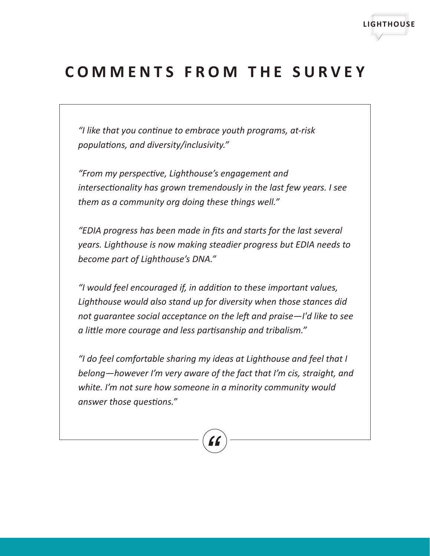

## **COMMENTS FROM THE SURVEY**

*"I like that you continue to embrace youth programs, at-risk populations, and diversity/inclusivity."*

*"From my perspective, Lighthouse's engagement and intersectionality has grown tremendously in the last few years. I see them as a community org doing these things well."*

*"EDIA progress has been made in fits and starts for the last several years. Lighthouse is now making steadier progress but EDIA needs to become part of Lighthouse's DNA."*

*"I would feel encouraged if, in addition to these important values, Lighthouse would also stand up for diversity when those stances did not guarantee social acceptance on the left and praise—I'd like to see a little more courage and less partisanship and tribalism."*

*"I do feel comfortable sharing my ideas at Lighthouse and feel that I belong—however I'm very aware of the fact that I'm cis, straight, and white. I'm not sure how someone in a minority community would answer those questions."*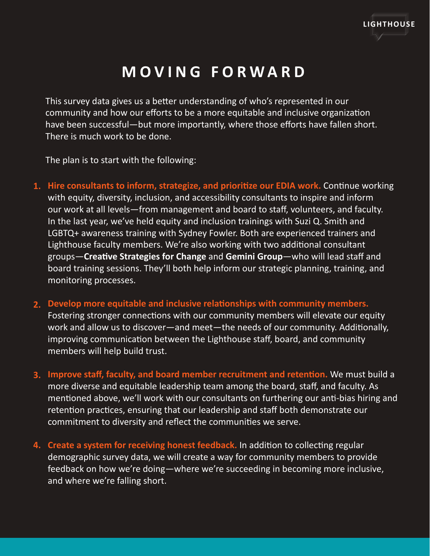

## **MOVING FORWARD**

This survey data gives us a better understanding of who's represented in our community and how our efforts to be a more equitable and inclusive organization have been successful—but more importantly, where those efforts have fallen short. There is much work to be done.

The plan is to start with the following:

- **Hire consultants to inform, strategize, and prioritize our EDIA work.** Continue working **1.**  with equity, diversity, inclusion, and accessibility consultants to inspire and inform our work at all levels—from management and board to staff, volunteers, and faculty. In the last year, we've held equity and inclusion trainings with Suzi Q. Smith and LGBTQ+ awareness training with Sydney Fowler. Both are experienced trainers and Lighthouse faculty members. We're also working with two additional consultant groups—**Creative Strategies for Change** and **Gemini Group**—who will lead staff and board training sessions. They'll both help inform our strategic planning, training, and monitoring processes.
- **Develop more equitable and inclusive relationships with community members. 2.**  Fostering stronger connections with our community members will elevate our equity work and allow us to discover—and meet—the needs of our community. Additionally, improving communication between the Lighthouse staff, board, and community members will help build trust.
- **Improve staff, faculty, and board member recruitment and retention.** We must build a **3.**  more diverse and equitable leadership team among the board, staff, and faculty. As mentioned above, we'll work with our consultants on furthering our anti-bias hiring and retention practices, ensuring that our leadership and staff both demonstrate our commitment to diversity and reflect the communities we serve.
- **Create a system for receiving honest feedback.** In addition to collecting regular **4.** demographic survey data, we will create a way for community members to provide feedback on how we're doing—where we're succeeding in becoming more inclusive, and where we're falling short.